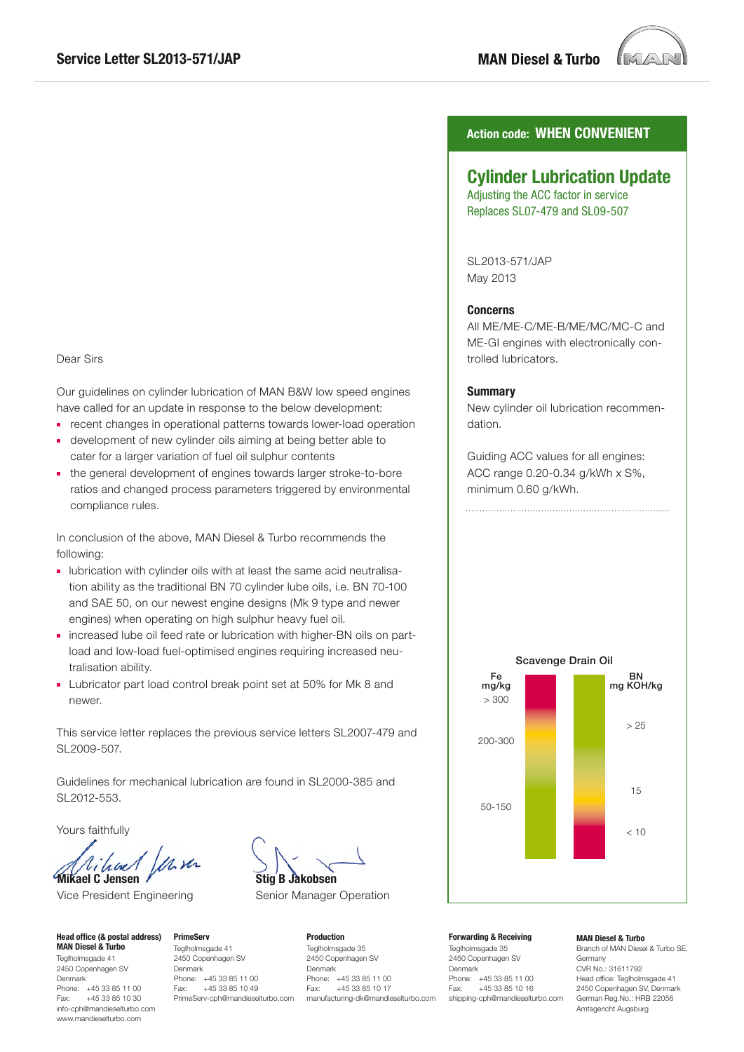

# Dear Sirs

Our guidelines on cylinder lubrication of MAN B&W low speed engines have called for an update in response to the below development:

- recent changes in operational patterns towards lower-load operation
- development of new cylinder oils aiming at being better able to cater for a larger variation of fuel oil sulphur contents
- the general development of engines towards larger stroke-to-bore ratios and changed process parameters triggered by environmental compliance rules.

In conclusion of the above, MAN Diesel & Turbo recommends the following:

- lubrication with cylinder oils with at least the same acid neutralisation ability as the traditional BN 70 cylinder lube oils, i.e. BN 70-100 and SAE 50, on our newest engine designs (Mk 9 type and newer engines) when operating on high sulphur heavy fuel oil.
- increased lube oil feed rate or lubrication with higher-BN oils on partload and low-load fuel-optimised engines requiring increased neutralisation ability.
- Lubricator part load control break point set at 50% for Mk 8 and newer.

This service letter replaces the previous service letters SL2007-479 and SL2009-507.

Guidelines for mechanical lubrication are found in SL2000-385 and SL2012-553.

Yours faithfully

Mit Vihal **Mikael C Jensen** 

Vice President Engineering

**Head office (& postal address) MAN Diesel & Turbo** Teglholmsgade 41 2450 Copenhagen SV Denmark Phone: +45 33 85 11 00 Fax: +45 33 85 10 30 info-cph@mandieselturbo.com www.mandieselturbo.com

**PrimeServ** Teglholmsgade 41 2450 Copenhagen SV Denmark Phone: +45 33 85 11 00<br>Fax: +45 33 85 10 49 +45 33 85 10 49 PrimeServ-cph@mandieselturbo.com

**Stig B Jakobsen**

Senior Manager Operation

**Production** Teglholmsgade 35 2450 Copenhagen SV Denmark Phone: +45 33 85 11 00<br>Fax: +45 33 85 10 17 +45 33 85 10 17 manufacturing-dk@mandieselturbo.com

## **Action code: WHEN CONVENIENT**

## **Cylinder Lubrication Update**

Adjusting the ACC factor in service Replaces SL07-479 and SL09-507

SL2013-571/JAP May 2013

#### **Concerns**

All ME/ME-C/ME-B/ME/MC/MC-C and ME-GI engines with electronically controlled lubricators.

#### **Summary**

New cylinder oil lubrication recommendation.

Guiding ACC values for all engines: ACC range 0.20-0.34 g/kWh x S%, minimum 0.60 g/kWh.



### **Forwarding & Receiving**

Teglholmsgade 35 2450 Copenhagen SV Denmark Phone: +45 33 85 11 00<br>Fax: +45 33 85 10 16 +45 33 85 10 16 shipping-cph@mandieselturbo.com

#### **MAN Diesel & Turbo**

Branch of MAN Diesel & Turbo SE, Germany CVR No.: 31611792 Head office: Teglholmsgade 41 2450 Copenhagen SV, Denmark German Reg.No.: HRB 22056 Amtsgericht Augsburg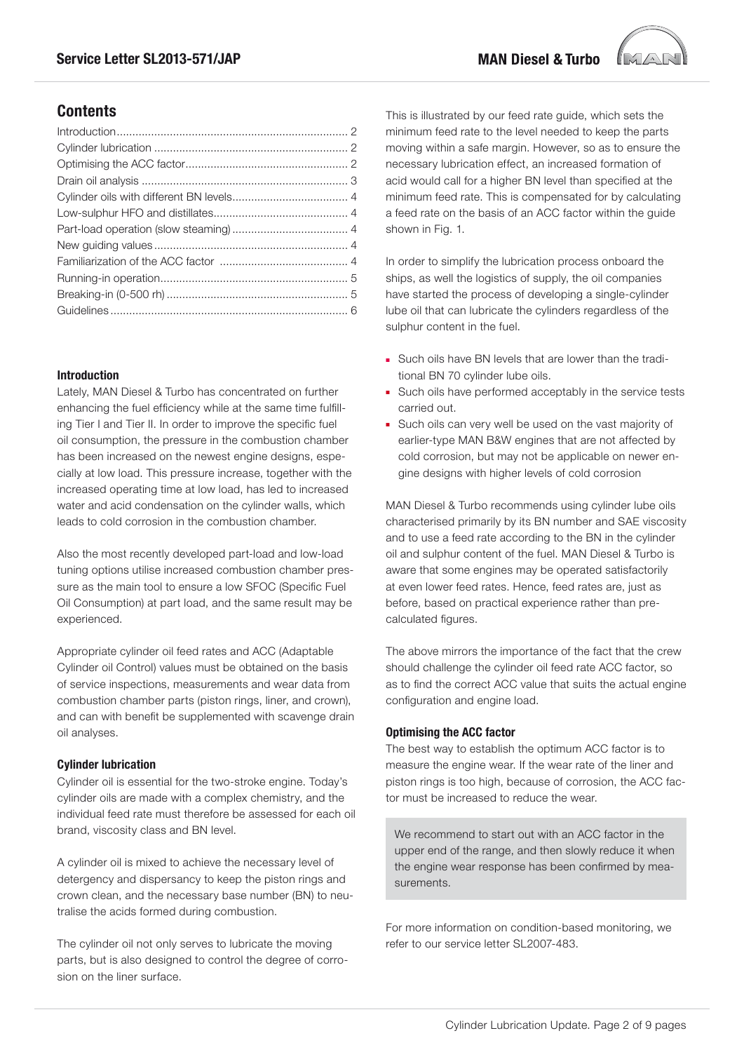

# **Contents**

## **Introduction**

Lately, MAN Diesel & Turbo has concentrated on further enhancing the fuel efficiency while at the same time fulfilling Tier I and Tier II. In order to improve the specific fuel oil consumption, the pressure in the combustion chamber has been increased on the newest engine designs, especially at low load. This pressure increase, together with the increased operating time at low load, has led to increased water and acid condensation on the cylinder walls, which leads to cold corrosion in the combustion chamber.

Also the most recently developed part-load and low-load tuning options utilise increased combustion chamber pressure as the main tool to ensure a low SFOC (Specific Fuel Oil Consumption) at part load, and the same result may be experienced.

Appropriate cylinder oil feed rates and ACC (Adaptable Cylinder oil Control) values must be obtained on the basis of service inspections, measurements and wear data from combustion chamber parts (piston rings, liner, and crown), and can with benefit be supplemented with scavenge drain oil analyses.

### **Cylinder lubrication**

Cylinder oil is essential for the two-stroke engine. Today's cylinder oils are made with a complex chemistry, and the individual feed rate must therefore be assessed for each oil brand, viscosity class and BN level.

A cylinder oil is mixed to achieve the necessary level of detergency and dispersancy to keep the piston rings and crown clean, and the necessary base number (BN) to neutralise the acids formed during combustion.

The cylinder oil not only serves to lubricate the moving parts, but is also designed to control the degree of corrosion on the liner surface.

This is illustrated by our feed rate guide, which sets the minimum feed rate to the level needed to keep the parts moving within a safe margin. However, so as to ensure the necessary lubrication effect, an increased formation of acid would call for a higher BN level than specified at the minimum feed rate. This is compensated for by calculating a feed rate on the basis of an ACC factor within the guide shown in Fig. 1.

In order to simplify the lubrication process onboard the ships, as well the logistics of supply, the oil companies have started the process of developing a single-cylinder lube oil that can lubricate the cylinders regardless of the sulphur content in the fuel.

- Such oils have BN levels that are lower than the traditional BN 70 cylinder lube oils.
- Such oils have performed acceptably in the service tests carried out.
- Such oils can very well be used on the vast majority of earlier-type MAN B&W engines that are not affected by cold corrosion, but may not be applicable on newer engine designs with higher levels of cold corrosion

MAN Diesel & Turbo recommends using cylinder lube oils characterised primarily by its BN number and SAE viscosity and to use a feed rate according to the BN in the cylinder oil and sulphur content of the fuel. MAN Diesel & Turbo is aware that some engines may be operated satisfactorily at even lower feed rates. Hence, feed rates are, just as before, based on practical experience rather than precalculated figures.

The above mirrors the importance of the fact that the crew should challenge the cylinder oil feed rate ACC factor, so as to find the correct ACC value that suits the actual engine configuration and engine load.

### **Optimising the ACC factor**

The best way to establish the optimum ACC factor is to measure the engine wear. If the wear rate of the liner and piston rings is too high, because of corrosion, the ACC factor must be increased to reduce the wear.

We recommend to start out with an ACC factor in the upper end of the range, and then slowly reduce it when the engine wear response has been confirmed by measurements.

For more information on condition-based monitoring, we refer to our service letter SL2007-483.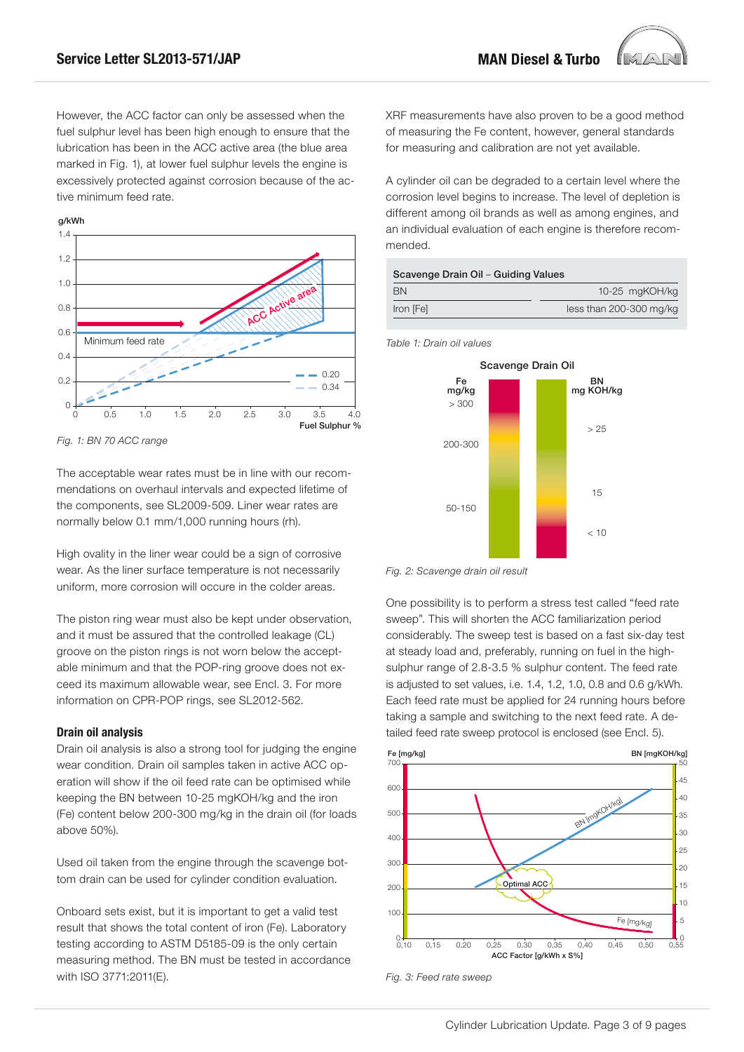However, the ACC factor can only be assessed when the fuel sulphur level has been high enough to ensure that the lubrication has been in the ACC active area (the blue area marked in Fig. 1), at lower fuel sulphur levels the engine is excessively protected against corrosion because of the active minimum feed rate.



*Fig. 1: BN 70 ACC range*

The acceptable wear rates must be in line with our recommendations on overhaul intervals and expected lifetime of the components, see SL2009-509. Liner wear rates are normally below 0.1 mm/1,000 running hours (rh).

High ovality in the liner wear could be a sign of corrosive wear. As the liner surface temperature is not necessarily uniform, more corrosion will occure in the colder areas.

The piston ring wear must also be kept under observation, and it must be assured that the controlled leakage (CL) groove on the piston rings is not worn below the acceptable minimum and that the POP-ring groove does not exceed its maximum allowable wear, see Encl. 3. For more information on CPR-POP rings, see SL2012-562.

### **Drain oil analysis**

Drain oil analysis is also a strong tool for judging the engine wear condition. Drain oil samples taken in active ACC operation will show if the oil feed rate can be optimised while keeping the BN between 10-25 mgKOH/kg and the iron (Fe) content below 200-300 mg/kg in the drain oil (for loads above 50%).

Used oil taken from the engine through the scavenge bottom drain can be used for cylinder condition evaluation.

Onboard sets exist, but it is important to get a valid test result that shows the total content of iron (Fe). Laboratory testing according to ASTM D5185-09 is the only certain measuring method. The BN must be tested in accordance with ISO 3771:2011(E).

XRF measurements have also proven to be a good method of measuring the Fe content, however, general standards for measuring and calibration are not yet available.

A cylinder oil can be degraded to a certain level where the corrosion level begins to increase. The level of depletion is different among oil brands as well as among engines, and an individual evaluation of each engine is therefore recommended.

| Scavenge Drain Oil - Guiding Values |  |
|-------------------------------------|--|
|                                     |  |

| BN        | 10-25 mgKOH/kg          |
|-----------|-------------------------|
| Iron [Fe] | less than 200-300 mg/kg |
|           |                         |

*Table 1: Drain oil values*



*Fig. 2: Scavenge drain oil result*

One possibility is to perform a stress test called "feed rate sweep". This will shorten the ACC familiarization period considerably. The sweep test is based on a fast six-day test at steady load and, preferably, running on fuel in the highsulphur range of 2.8-3.5 % sulphur content. The feed rate is adjusted to set values, i.e. 1.4, 1.2, 1.0, 0.8 and 0.6 g/kWh. Each feed rate must be applied for 24 running hours before taking a sample and switching to the next feed rate. A detailed feed rate sweep protocol is enclosed (see Encl. 5).



*Fig. 3: Feed rate sweep*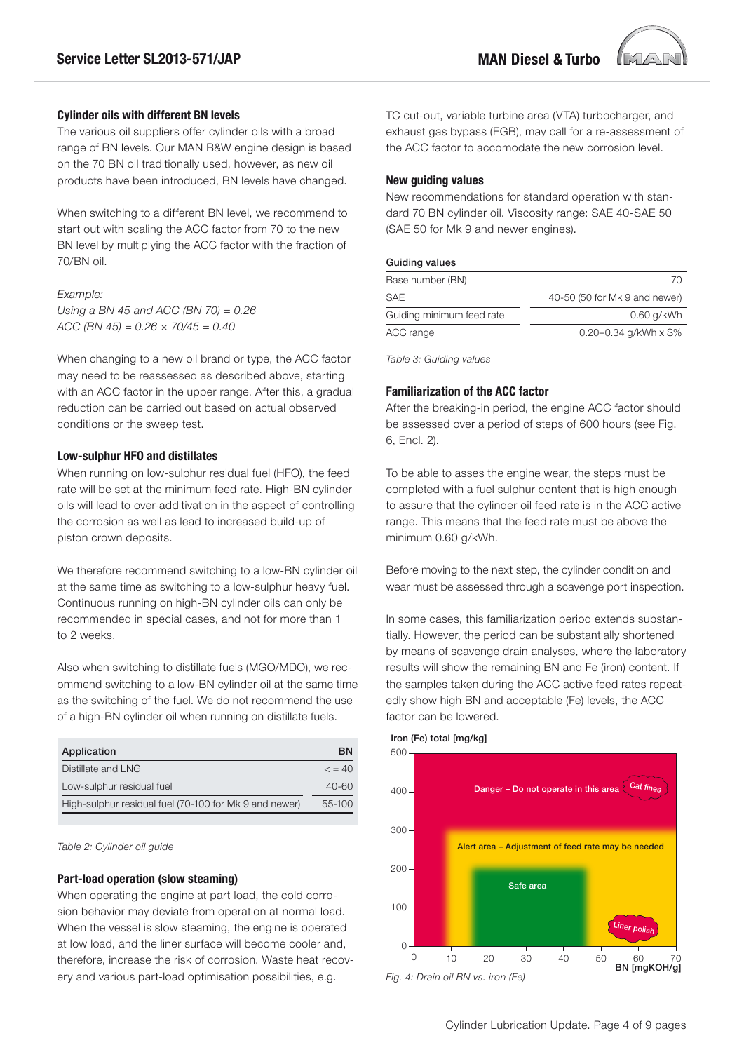

The various oil suppliers offer cylinder oils with a broad range of BN levels. Our MAN B&W engine design is based on the 70 BN oil traditionally used, however, as new oil products have been introduced, BN levels have changed.

When switching to a different BN level, we recommend to start out with scaling the ACC factor from 70 to the new BN level by multiplying the ACC factor with the fraction of 70/BN oil.

*Example:*

*Using a BN 45 and ACC (BN 70) = 0.26 ACC (BN 45) = 0.26 × 70/45 = 0.40*

When changing to a new oil brand or type, the ACC factor may need to be reassessed as described above, starting with an ACC factor in the upper range. After this, a gradual reduction can be carried out based on actual observed conditions or the sweep test.

### **Low-sulphur HFO and distillates**

When running on low-sulphur residual fuel (HFO), the feed rate will be set at the minimum feed rate. High-BN cylinder oils will lead to over-additivation in the aspect of controlling the corrosion as well as lead to increased build-up of piston crown deposits.

We therefore recommend switching to a low-BN cylinder oil at the same time as switching to a low-sulphur heavy fuel. Continuous running on high-BN cylinder oils can only be recommended in special cases, and not for more than 1 to 2 weeks.

Also when switching to distillate fuels (MGO/MDO), we recommend switching to a low-BN cylinder oil at the same time as the switching of the fuel. We do not recommend the use of a high-BN cylinder oil when running on distillate fuels.

| Application                                            | <b>BN</b>       |
|--------------------------------------------------------|-----------------|
| Distillate and LNG                                     | $\epsilon = 40$ |
| Low-sulphur residual fuel                              | 40-60           |
| High-sulphur residual fuel (70-100 for Mk 9 and newer) | 55-100          |

#### *Table 2: Cylinder oil guide*

#### **Part-load operation (slow steaming)**

When operating the engine at part load, the cold corrosion behavior may deviate from operation at normal load. When the vessel is slow steaming, the engine is operated at low load, and the liner surface will become cooler and, therefore, increase the risk of corrosion. Waste heat recovery and various part-load optimisation possibilities, e.g.

TC cut-out, variable turbine area (VTA) turbocharger, and exhaust gas bypass (EGB), may call for a re-assessment of the ACC factor to accomodate the new corrosion level.

#### **New guiding values**

New recommendations for standard operation with standard 70 BN cylinder oil. Viscosity range: SAE 40-SAE 50 (SAE 50 for Mk 9 and newer engines).

#### Guiding values

| Base number (BN)          | 70                            |
|---------------------------|-------------------------------|
| <b>SAE</b>                | 40-50 (50 for Mk 9 and newer) |
| Guiding minimum feed rate | 0.60 g/kWh                    |
| ACC range                 | 0.20-0.34 g/kWh x S%          |

*Table 3: Guiding values*

#### **Familiarization of the ACC factor**

After the breaking-in period, the engine ACC factor should be assessed over a period of steps of 600 hours (see Fig. 6, Encl. 2).

To be able to asses the engine wear, the steps must be completed with a fuel sulphur content that is high enough to assure that the cylinder oil feed rate is in the ACC active range. This means that the feed rate must be above the minimum 0.60 g/kWh.

Before moving to the next step, the cylinder condition and wear must be assessed through a scavenge port inspection.

In some cases, this familiarization period extends substantially. However, the period can be substantially shortened by means of scavenge drain analyses, where the laboratory results will show the remaining BN and Fe (iron) content. If the samples taken during the ACC active feed rates repeatedly show high BN and acceptable (Fe) levels, the ACC factor can be lowered.

## *Fig. 4: Drain oil BN vs. iron (Fe)* 500  $100$ 300 200 100 0 0 10 20 30 40 50 60 70 BN [mgKOH/g] Danger – Do not operate in this are Alert area – Adjustment of feed rate may be needed Safe area Cat fines Liner polish

### Iron (Fe) total [mg/kg]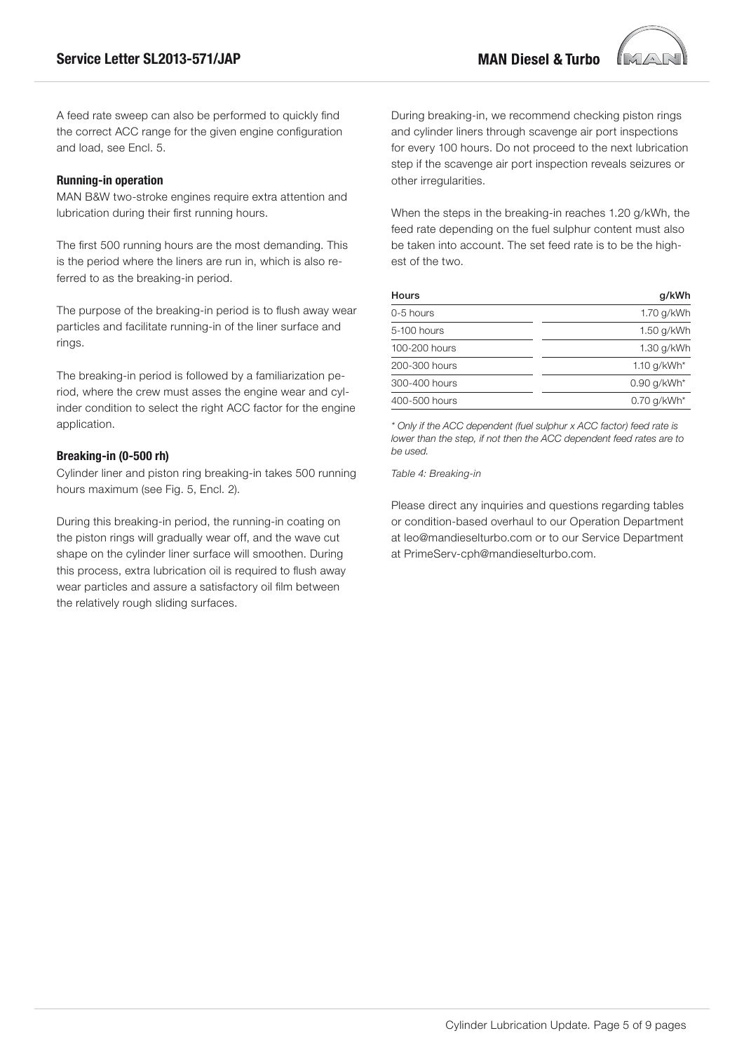

#### **Running-in operation**

MAN B&W two-stroke engines require extra attention and lubrication during their first running hours.

The first 500 running hours are the most demanding. This is the period where the liners are run in, which is also referred to as the breaking-in period.

The purpose of the breaking-in period is to flush away wear particles and facilitate running-in of the liner surface and rings.

The breaking-in period is followed by a familiarization period, where the crew must asses the engine wear and cylinder condition to select the right ACC factor for the engine application.

### **Breaking-in (0-500 rh)**

Cylinder liner and piston ring breaking-in takes 500 running hours maximum (see Fig. 5, Encl. 2).

During this breaking-in period, the running-in coating on the piston rings will gradually wear off, and the wave cut shape on the cylinder liner surface will smoothen. During this process, extra lubrication oil is required to flush away wear particles and assure a satisfactory oil film between the relatively rough sliding surfaces.

During breaking-in, we recommend checking piston rings and cylinder liners through scavenge air port inspections for every 100 hours. Do not proceed to the next lubrication step if the scavenge air port inspection reveals seizures or other irregularities.

When the steps in the breaking-in reaches 1.20 g/kWh, the feed rate depending on the fuel sulphur content must also be taken into account. The set feed rate is to be the highest of the two.

| Hours         | q/kWh          |  |  |
|---------------|----------------|--|--|
| 0-5 hours     | 1.70 g/kWh     |  |  |
| 5-100 hours   | 1.50 g/kWh     |  |  |
| 100-200 hours | 1.30 g/kWh     |  |  |
| 200-300 hours | 1.10 $q/kWh^*$ |  |  |
| 300-400 hours | $0.90$ g/kWh*  |  |  |
| 400-500 hours | $0.70$ g/kWh*  |  |  |

*\* Only if the ACC dependent (fuel sulphur x ACC factor) feed rate is lower than the step, if not then the ACC dependent feed rates are to be used.*

*Table 4: Breaking-in*

Please direct any inquiries and questions regarding tables or condition-based overhaul to our Operation Department at leo@mandieselturbo.com or to our Service Department at PrimeServ-cph@mandieselturbo.com.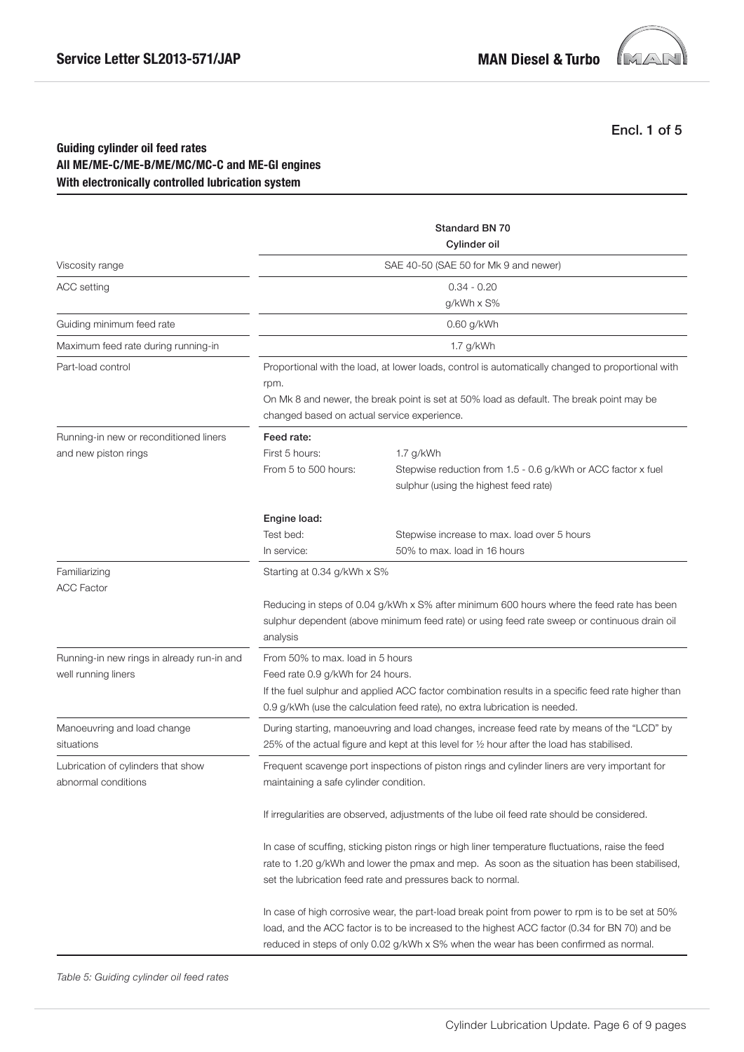

Encl. 1 of 5

## **Guiding cylinder oil feed rates All ME/ME-C/ME-B/ME/MC/MC-C and ME-GI engines With electronically controlled lubrication system**

|                                                                   | <b>Standard BN 70</b><br>Cylinder oil                                                                                                                                                                                                                                                    |                                                                                                                    |  |  |
|-------------------------------------------------------------------|------------------------------------------------------------------------------------------------------------------------------------------------------------------------------------------------------------------------------------------------------------------------------------------|--------------------------------------------------------------------------------------------------------------------|--|--|
| Viscosity range                                                   | SAE 40-50 (SAE 50 for Mk 9 and newer)                                                                                                                                                                                                                                                    |                                                                                                                    |  |  |
| ACC setting                                                       | $0.34 - 0.20$                                                                                                                                                                                                                                                                            |                                                                                                                    |  |  |
|                                                                   | g/kWh x S%                                                                                                                                                                                                                                                                               |                                                                                                                    |  |  |
| Guiding minimum feed rate                                         |                                                                                                                                                                                                                                                                                          | 0.60 g/kWh                                                                                                         |  |  |
| Maximum feed rate during running-in                               |                                                                                                                                                                                                                                                                                          | 1.7 g/kWh                                                                                                          |  |  |
| Part-load control                                                 | Proportional with the load, at lower loads, control is automatically changed to proportional with<br>rpm.<br>On Mk 8 and newer, the break point is set at 50% load as default. The break point may be<br>changed based on actual service experience.                                     |                                                                                                                    |  |  |
| Running-in new or reconditioned liners<br>and new piston rings    | Feed rate:<br>First 5 hours:<br>From 5 to 500 hours:                                                                                                                                                                                                                                     | 1.7 g/kWh<br>Stepwise reduction from 1.5 - 0.6 g/kWh or ACC factor x fuel<br>sulphur (using the highest feed rate) |  |  |
|                                                                   | Engine load:<br>Test bed:<br>In service:                                                                                                                                                                                                                                                 | Stepwise increase to max. load over 5 hours<br>50% to max. load in 16 hours                                        |  |  |
| Familiarizing<br><b>ACC Factor</b>                                | Starting at 0.34 g/kWh x S%<br>Reducing in steps of 0.04 g/kWh x S% after minimum 600 hours where the feed rate has been<br>sulphur dependent (above minimum feed rate) or using feed rate sweep or continuous drain oil                                                                 |                                                                                                                    |  |  |
| Running-in new rings in already run-in and<br>well running liners | analysis<br>From 50% to max. load in 5 hours<br>Feed rate 0.9 g/kWh for 24 hours.<br>If the fuel sulphur and applied ACC factor combination results in a specific feed rate higher than<br>0.9 g/kWh (use the calculation feed rate), no extra lubrication is needed.                    |                                                                                                                    |  |  |
| Manoeuvring and load change<br>situations                         | During starting, manoeuvring and load changes, increase feed rate by means of the "LCD" by<br>25% of the actual figure and kept at this level for 1/2 hour after the load has stabilised.                                                                                                |                                                                                                                    |  |  |
| Lubrication of cylinders that show<br>abnormal conditions         | Frequent scavenge port inspections of piston rings and cylinder liners are very important for<br>maintaining a safe cylinder condition.                                                                                                                                                  |                                                                                                                    |  |  |
|                                                                   | If irregularities are observed, adjustments of the lube oil feed rate should be considered.                                                                                                                                                                                              |                                                                                                                    |  |  |
|                                                                   | In case of scuffing, sticking piston rings or high liner temperature fluctuations, raise the feed<br>rate to 1.20 g/kWh and lower the pmax and mep. As soon as the situation has been stabilised,<br>set the lubrication feed rate and pressures back to normal.                         |                                                                                                                    |  |  |
|                                                                   | In case of high corrosive wear, the part-load break point from power to rpm is to be set at 50%<br>load, and the ACC factor is to be increased to the highest ACC factor (0.34 for BN 70) and be<br>reduced in steps of only 0.02 g/kWh x S% when the wear has been confirmed as normal. |                                                                                                                    |  |  |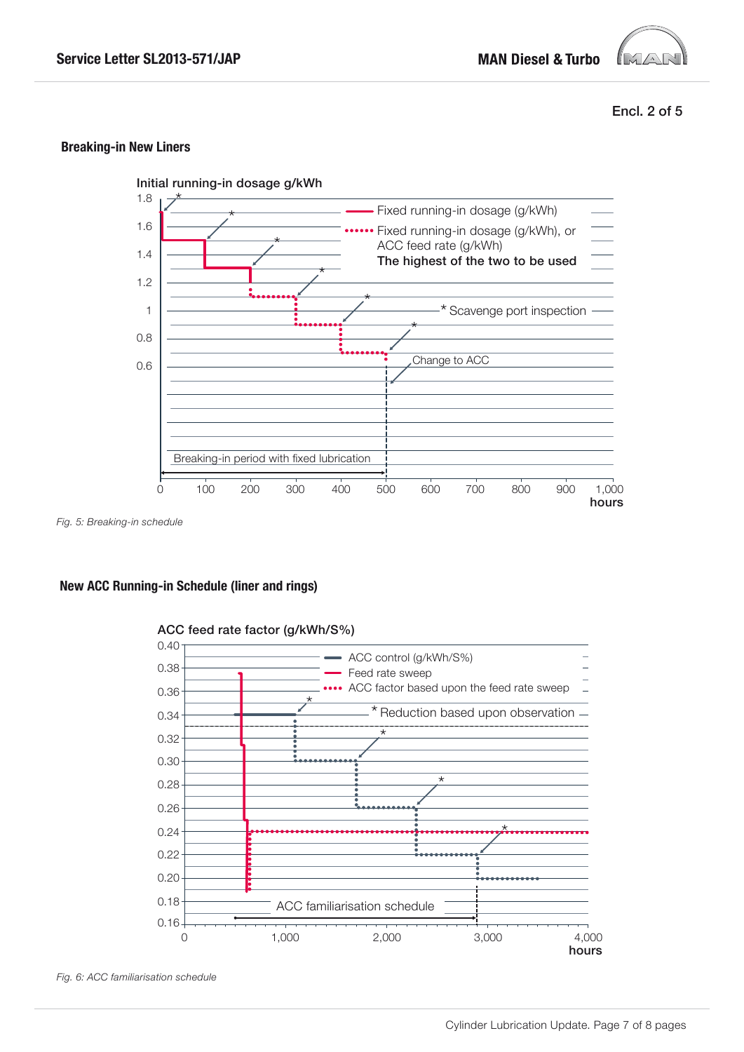

Encl. 2 of 5

## **Breaking-in New Liners**



*Fig. 5: Breaking-in schedule*

## **New ACC Running-in Schedule (liner and rings)**



## ACC feed rate factor (g/kWh/S%)

*Fig. 6: ACC familiarisation schedule*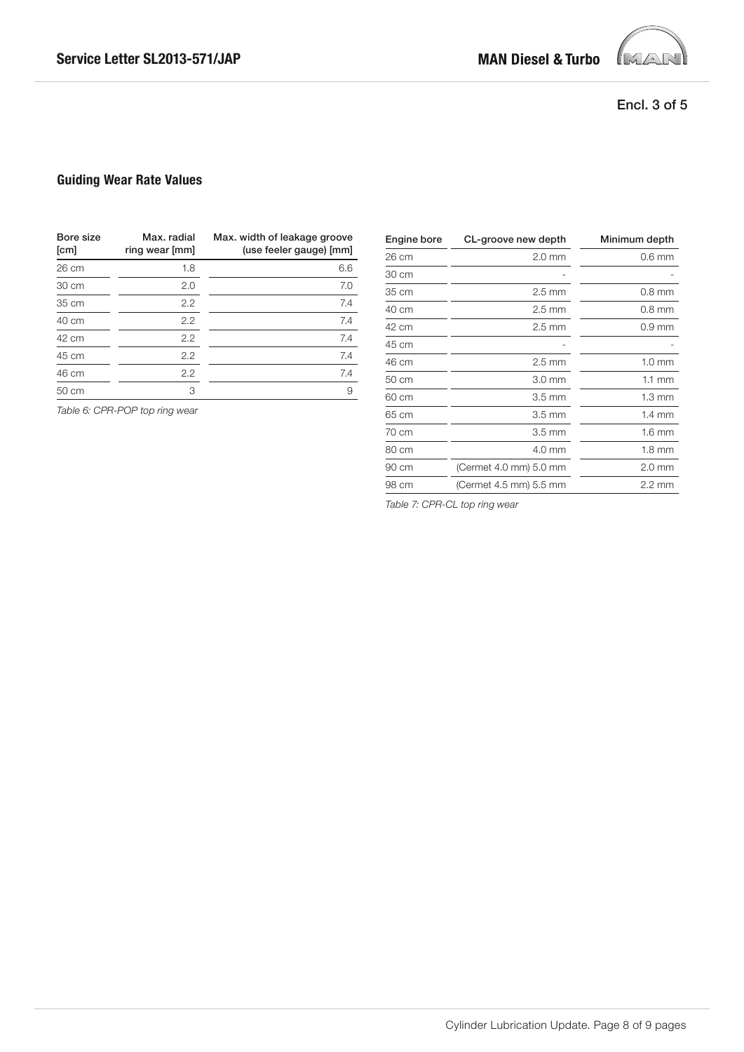

## Encl. 3 of 5

## **Guiding Wear Rate Values**

| Bore size<br>[cm] | Max. radial<br>ring wear [mm] | Max. width of leakage groove<br>(use feeler gauge) [mm] |
|-------------------|-------------------------------|---------------------------------------------------------|
| 26 cm             | 1.8                           | 6.6                                                     |
| 30 cm             | 2.0                           | 7.0                                                     |
| 35 cm             | 2.2                           | 7.4                                                     |
| 40 cm             | 2.2                           | 7.4                                                     |
| 42 cm             | 2.2                           | 7.4                                                     |
| 45 cm             | 2.2                           | 7.4                                                     |
| 46 cm             | 2.2                           | 7.4                                                     |
| 50 cm             | 3                             | 9                                                       |

*Table 6: CPR-POP top ring wear*

| Engine bore | CL-groove new depth    | Minimum depth    |
|-------------|------------------------|------------------|
| 26 cm       | $2.0$ mm               | $0.6$ mm         |
| 30 cm       |                        |                  |
| 35 cm       | $2.5 \text{ mm}$       | $0.8$ mm         |
| 40 cm       | $2.5 \text{ mm}$       | $0.8$ mm         |
| 42 cm       | $2.5 \text{ mm}$       | $0.9$ mm         |
| 45 cm       |                        |                  |
| 46 cm       | $2.5 \text{ mm}$       | $1.0 \text{ mm}$ |
| 50 cm       | $3.0 \text{ mm}$       | $1.1 \text{ mm}$ |
| 60 cm       | $3.5 \text{ mm}$       | $1.3 \text{ mm}$ |
| 65 cm       | $3.5 \text{ mm}$       | $1.4 \text{ mm}$ |
| 70 cm       | $3.5 \text{ mm}$       | $1.6 \text{ mm}$ |
| 80 cm       | 4.0 mm                 | $1.8 \text{ mm}$ |
| 90 cm       | (Cermet 4.0 mm) 5.0 mm | $2.0 \text{ mm}$ |
| 98 cm       | (Cermet 4.5 mm) 5.5 mm | $2.2 \text{ mm}$ |

*Table 7: CPR-CL top ring wear*